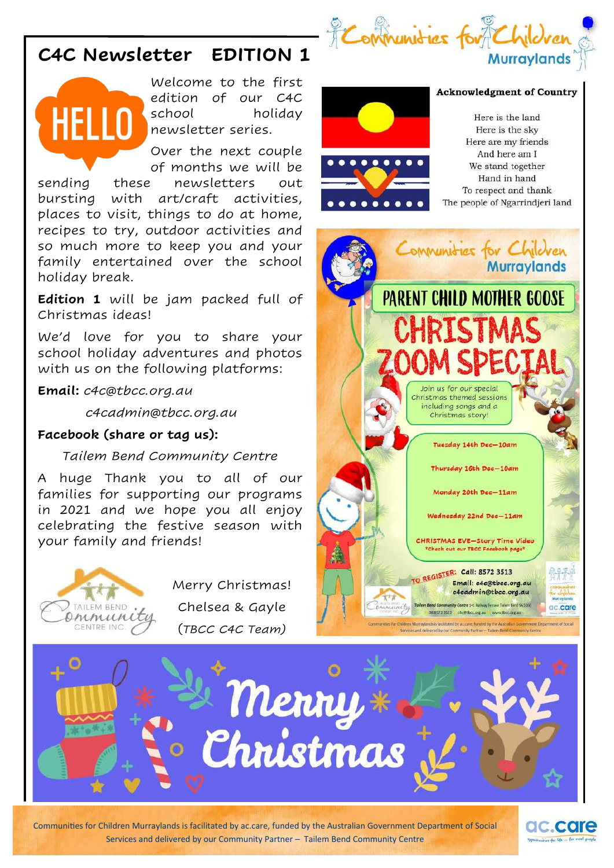

# **C4C Newsletter EDITION 1**



Welcome to the first edition of our C4C school holiday newsletter series.

Over the next couple of months we will be sending these newsletters out bursting with art/craft activities, places to visit, things to do at home, recipes to try, outdoor activities and so much more to keep you and your family entertained over the school holiday break.

**Edition 1** will be jam packed full of Christmas ideas!

We'd love for you to share your school holiday adventures and photos with us on the following platforms:

**Email:** *c4c@tbcc.org.au* 

 *c4cadmin@tbcc.org.au* 

# **Facebook (share or tag us):**

# *Tailem Bend Community Centre*

A huge Thank you to all of our families for supporting our programs in 2021 and we hope you all enjoy celebrating the festive season with your family and friends!



Merry Christmas! Chelsea & Gayle (*TBCC C4C Team)*



#### **Acknowledgment of Country**

Here is the land Here is the sky Here are my friends And here am I We stand together Hand in hand To respect and thank The people of Ngarrindjeri land





Communities for Children Murraylands is facilitated by ac.care, funded by the Australian Government Department of Social Services and delivered by our Community Partner – Tailem Bend Community Centre

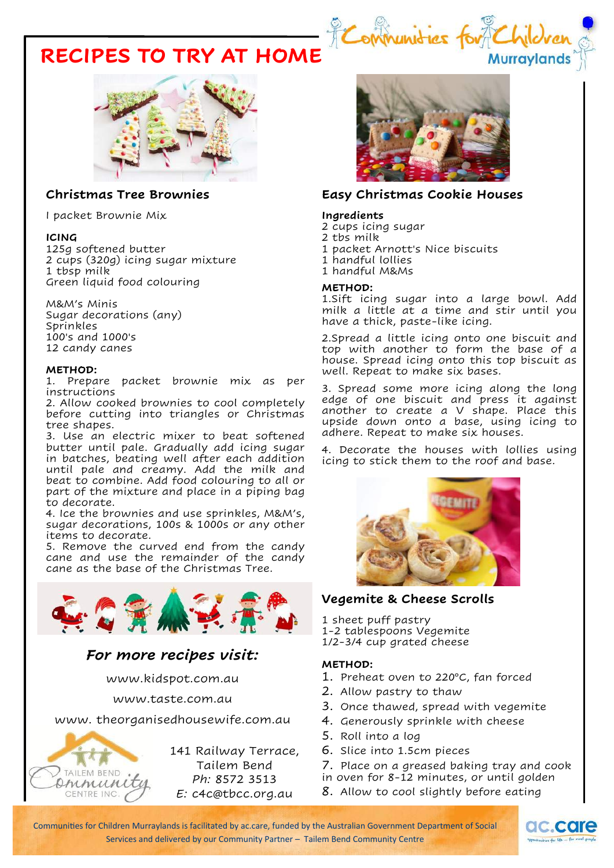# Eommunid **RECIPES TO TRY AT HOME**



## **Christmas Tree Brownies**

I packet Brownie Mix

#### **ICING**

125g softened butter 2 cups (320g) icing sugar mixture 1 tbsp milk Green liquid food colouring

M&M's Minis Sugar decorations (any) Sprinkles 100's and 1000's 12 candy canes

#### **METHOD:**

1. Prepare packet brownie mix as per instructions

2. Allow cooked brownies to cool completely before cutting into triangles or Christmas tree shapes.

3. Use an electric mixer to beat softened butter until pale. Gradually add icing sugar in batches, beating well after each addition until pale and creamy. Add the milk and beat to combine. Add food colouring to all or part of the mixture and place in a piping bag to decorate.

4. Ice the brownies and use sprinkles, M&M's, sugar decorations, 100s & 1000s or any other items to decorate.

5. Remove the curved end from the candy cane and use the remainder of the candy cane as the base of the Christmas Tree.



# *For more recipes visit:*

www.kidspot.com.au

www.taste.com.au

www. theorganisedhousewife.com.au



141 Railway Terrace, Tailem Bend *Ph:* 8572 3513 *E:* c4c@tbcc.org.au



**Murraylands** 

### **Easy Christmas Cookie Houses**

#### **Ingredients**

2 cups icing sugar

- 2 tbs milk
- 1 packet Arnott's Nice biscuits
- 1 handful lollies
- 1 handful M&Ms

#### **METHOD:**

1.Sift icing sugar into a large bowl. Add milk a little at a time and stir until you have a thick, paste-like icing.

2.Spread a little icing onto one biscuit and top with another to form the base of a house. Spread icing onto this top biscuit as well. Repeat to make six bases.

3. Spread some more icing along the long edge of one biscuit and press it against another to create a V shape. Place this upside down onto a base, using icing to adhere. Repeat to make six houses.

4. Decorate the houses with lollies using icing to stick them to the roof and base.



# **Vegemite & Cheese Scrolls**

1 sheet puff pastry 1-2 tablespoons Vegemite

1/2-3/4 cup grated cheese

### **METHOD:**

- 1. Preheat oven to 220°C, fan forced
- 2. Allow pastry to thaw
- 3. Once thawed, spread with vegemite
- 4. Generously sprinkle with cheese
- 5. Roll into a log
- 6. Slice into 1.5cm pieces
- 7. Place on a greased baking tray and cook
- in oven for 8-12 minutes, or until golden
- 8. Allow to cool slightly before eating

Communities for Children Murraylands is facilitated by ac.care, funded by the Australian Government Department of Social Services and delivered by our Community Partner – Tailem Bend Community Centre

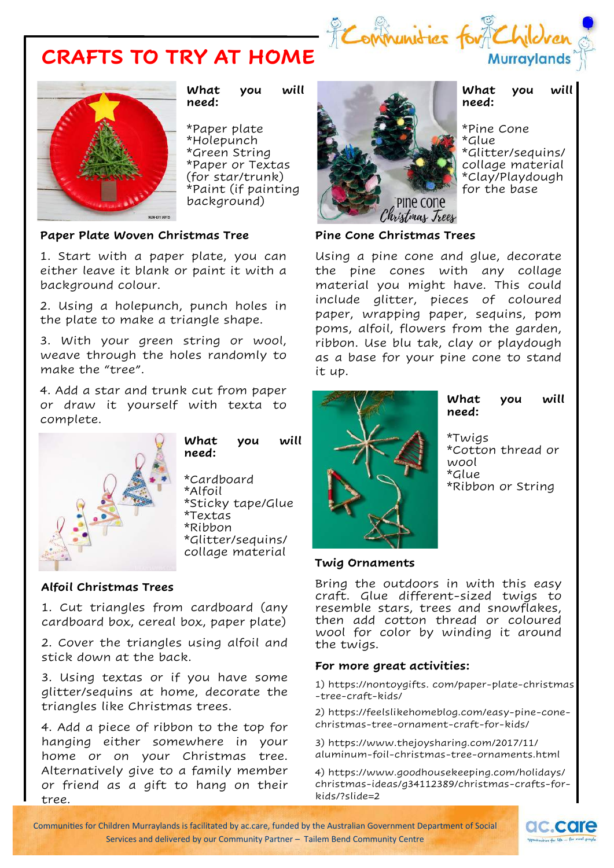





**What you will need:**

\*Paper plate \*Holepunch \*Green String \*Paper or Textas (for star/trunk) \*Paint (if painting background)

## **Paper Plate Woven Christmas Tree**

1. Start with a paper plate, you can either leave it blank or paint it with a background colour.

2. Using a holepunch, punch holes in the plate to make a triangle shape.

3. With your green string or wool, weave through the holes randomly to make the "tree".

4. Add a star and trunk cut from paper or draw it yourself with texta to complete.



**What you will need:**

\*Cardboard \*Alfoil \*Sticky tape/Glue \*Textas \*Ribbon \*Glitter/sequins/ collage material

#### **Alfoil Christmas Trees**

1. Cut triangles from cardboard (any cardboard box, cereal box, paper plate)

2. Cover the triangles using alfoil and stick down at the back.

3. Using textas or if you have some glitter/sequins at home, decorate the triangles like Christmas trees.

4. Add a piece of ribbon to the top for hanging either somewhere in your home or on your Christmas tree. Alternatively give to a family member or friend as a gift to hang on their tree.



#### **What you will need:**

\*Pine Cone \*Glue \*Glitter/sequins/ collage material \*Clay/Playdough for the base

#### **Pine Cone Christmas Trees**

Using a pine cone and glue, decorate the pine cones with any collage material you might have. This could include glitter, pieces of coloured paper, wrapping paper, sequins, pom poms, alfoil, flowers from the garden, ribbon. Use blu tak, clay or playdough as a base for your pine cone to stand it up.



**What you will need:**

\*Twigs \*Cotton thread or wool \*Glue \*Ribbon or String

#### **Twig Ornaments**

Bring the outdoors in with this easy craft. Glue different-sized twigs to resemble stars, trees and snowflakes, then add cotton thread or coloured wool for color by winding it around the twigs.

#### **For more great activities:**

1) https://nontoygifts. com/paper-plate-christmas -tree-craft-kids/

2) https://feelslikehomeblog.com/easy-pine-conechristmas-tree-ornament-craft-for-kids/

3) https://www.thejoysharing.com/2017/11/ aluminum-foil-christmas-tree-ornaments.html

4) https://www.goodhousekeeping.com/holidays/ christmas-ideas/g34112389/christmas-crafts-forkids/?slide=2

Communities for Children Murraylands is facilitated by ac.care, funded by the Australian Government Department of Social Services and delivered by our Community Partner – Tailem Bend Community Centre